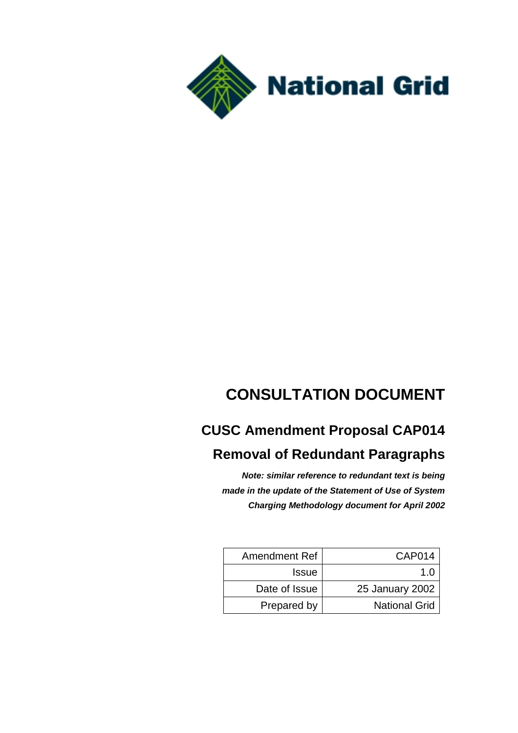

# **CONSULTATION DOCUMENT**

# **CUSC Amendment Proposal CAP014**

# **Removal of Redundant Paragraphs**

*Note: similar reference to redundant text is being made in the update of the Statement of Use of System Charging Methodology document for April 2002*

| Amendment Ref | <b>CAP014</b>        |
|---------------|----------------------|
| <b>Issue</b>  | 1 በ                  |
| Date of Issue | 25 January 2002      |
| Prepared by   | <b>National Grid</b> |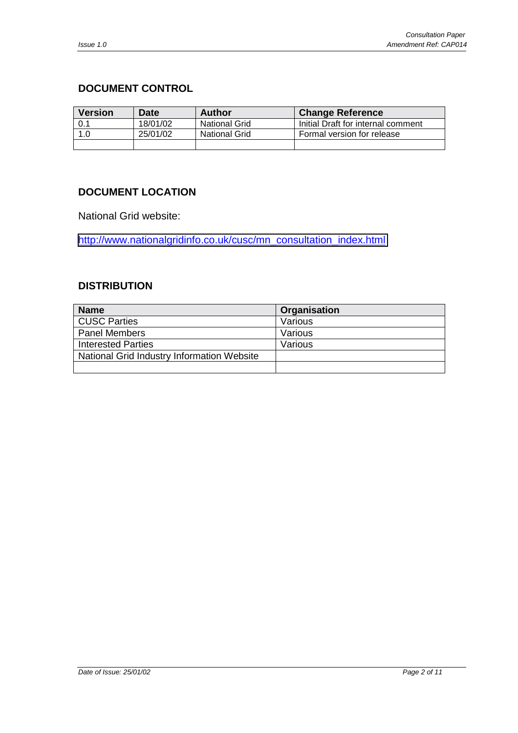### <span id="page-1-0"></span>**DOCUMENT CONTROL**

| <b>Version</b> | <b>Date</b> | Author               | <b>Change Reference</b>            |
|----------------|-------------|----------------------|------------------------------------|
| 0.1            | 18/01/02    | <b>National Grid</b> | Initial Draft for internal comment |
| 1.0            | 25/01/02    | <b>National Grid</b> | Formal version for release         |
|                |             |                      |                                    |

### **DOCUMENT LOCATION**

National Grid website:

[http://www.nationalgridinfo.co.uk/cusc/mn\\_consultation\\_index.html](http://www.nationalgridinfo.co.uk/cusc/mn_consultation_index.html)

### **DISTRIBUTION**

| <b>Name</b>                                | Organisation |
|--------------------------------------------|--------------|
| CUSC Parties                               | Various      |
| <b>Panel Members</b>                       | Various      |
| <b>Interested Parties</b>                  | Various      |
| National Grid Industry Information Website |              |
|                                            |              |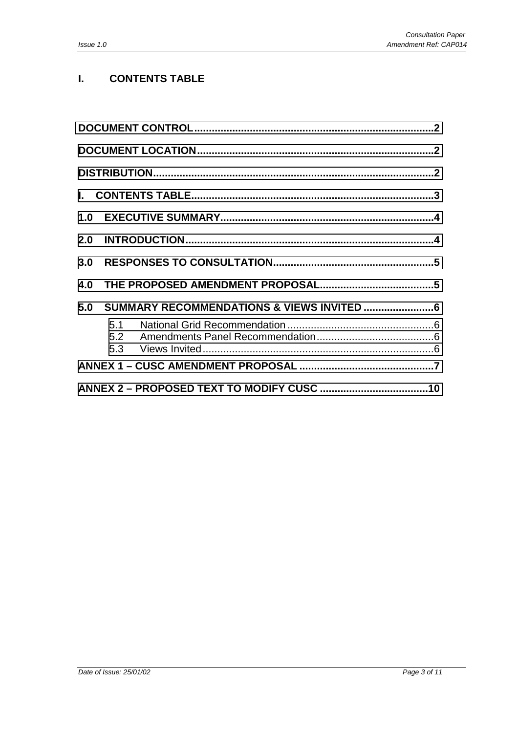## **I. CONTENTS TABLE**

| 3.0 |     |  |  |
|-----|-----|--|--|
| 4.0 |     |  |  |
| 5.0 |     |  |  |
|     | 5.1 |  |  |
|     |     |  |  |
|     |     |  |  |
|     |     |  |  |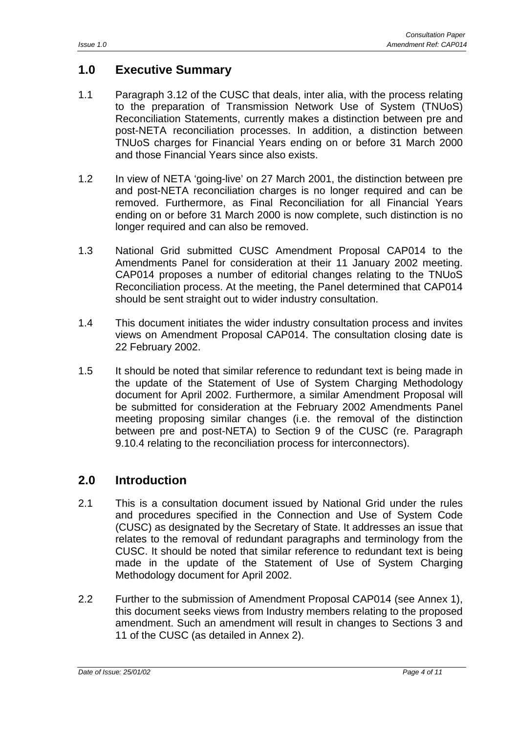# <span id="page-3-0"></span>**1.0 Executive Summary**

- 1.1 Paragraph 3.12 of the CUSC that deals, inter alia, with the process relating to the preparation of Transmission Network Use of System (TNUoS) Reconciliation Statements, currently makes a distinction between pre and post-NETA reconciliation processes. In addition, a distinction between TNUoS charges for Financial Years ending on or before 31 March 2000 and those Financial Years since also exists.
- 1.2 In view of NETA 'going-live' on 27 March 2001, the distinction between pre and post-NETA reconciliation charges is no longer required and can be removed. Furthermore, as Final Reconciliation for all Financial Years ending on or before 31 March 2000 is now complete, such distinction is no longer required and can also be removed.
- 1.3 National Grid submitted CUSC Amendment Proposal CAP014 to the Amendments Panel for consideration at their 11 January 2002 meeting. CAP014 proposes a number of editorial changes relating to the TNUoS Reconciliation process. At the meeting, the Panel determined that CAP014 should be sent straight out to wider industry consultation.
- 1.4 This document initiates the wider industry consultation process and invites views on Amendment Proposal CAP014. The consultation closing date is 22 February 2002.
- 1.5 It should be noted that similar reference to redundant text is being made in the update of the Statement of Use of System Charging Methodology document for April 2002. Furthermore, a similar Amendment Proposal will be submitted for consideration at the February 2002 Amendments Panel meeting proposing similar changes (i.e. the removal of the distinction between pre and post-NETA) to Section 9 of the CUSC (re. Paragraph 9.10.4 relating to the reconciliation process for interconnectors).

## **2.0 Introduction**

- 2.1 This is a consultation document issued by National Grid under the rules and procedures specified in the Connection and Use of System Code (CUSC) as designated by the Secretary of State. It addresses an issue that relates to the removal of redundant paragraphs and terminology from the CUSC. It should be noted that similar reference to redundant text is being made in the update of the Statement of Use of System Charging Methodology document for April 2002.
- 2.2 Further to the submission of Amendment Proposal CAP014 (see Annex 1), this document seeks views from Industry members relating to the proposed amendment. Such an amendment will result in changes to Sections 3 and 11 of the CUSC (as detailed in Annex 2).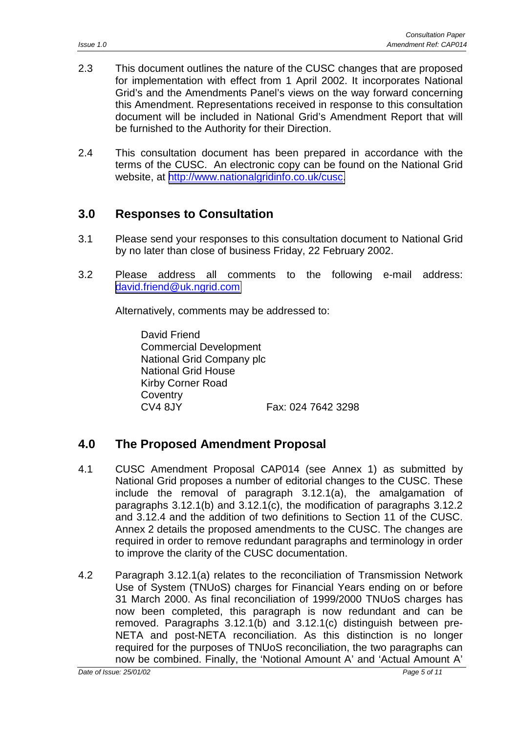- <span id="page-4-0"></span>2.3 This document outlines the nature of the CUSC changes that are proposed for implementation with effect from 1 April 2002. It incorporates National Grid's and the Amendments Panel's views on the way forward concerning this Amendment. Representations received in response to this consultation document will be included in National Grid's Amendment Report that will be furnished to the Authority for their Direction.
- 2.4 This consultation document has been prepared in accordance with the terms of the CUSC. An electronic copy can be found on the National Grid website, at [http://www.nationalgridinfo.co.uk/cusc.](http://www.nationalgridinfo.co.uk/cusc)

# **3.0 Responses to Consultation**

- 3.1 Please send your responses to this consultation document to National Grid by no later than close of business Friday, 22 February 2002.
- 3.2 Please address all comments to the following e-mail address: [david.friend@uk.ngrid.com](mailto:david.friend@uk.ngrid.com)

Alternatively, comments may be addressed to:

David Friend Commercial Development National Grid Company plc National Grid House Kirby Corner Road **Coventry** CV4 8JY Fax: 024 7642 3298

## **4.0 The Proposed Amendment Proposal**

- 4.1 CUSC Amendment Proposal CAP014 (see Annex 1) as submitted by National Grid proposes a number of editorial changes to the CUSC. These include the removal of paragraph 3.12.1(a), the amalgamation of paragraphs 3.12.1(b) and 3.12.1(c), the modification of paragraphs 3.12.2 and 3.12.4 and the addition of two definitions to Section 11 of the CUSC. Annex 2 details the proposed amendments to the CUSC. The changes are required in order to remove redundant paragraphs and terminology in order to improve the clarity of the CUSC documentation.
- 4.2 Paragraph 3.12.1(a) relates to the reconciliation of Transmission Network Use of System (TNUoS) charges for Financial Years ending on or before 31 March 2000. As final reconciliation of 1999/2000 TNUoS charges has now been completed, this paragraph is now redundant and can be removed. Paragraphs 3.12.1(b) and 3.12.1(c) distinguish between pre-NETA and post-NETA reconciliation. As this distinction is no longer required for the purposes of TNUoS reconciliation, the two paragraphs can now be combined. Finally, the 'Notional Amount A' and 'Actual Amount A'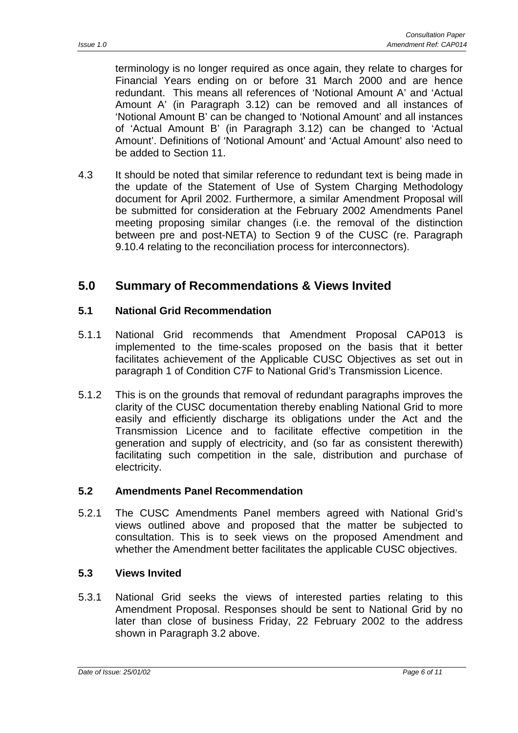<span id="page-5-0"></span>terminology is no longer required as once again, they relate to charges for Financial Years ending on or before 31 March 2000 and are hence redundant. This means all references of 'Notional Amount A' and 'Actual Amount A' (in Paragraph 3.12) can be removed and all instances of 'Notional Amount B' can be changed to 'Notional Amount' and all instances of 'Actual Amount B' (in Paragraph 3.12) can be changed to 'Actual Amount'. Definitions of 'Notional Amount' and 'Actual Amount' also need to be added to Section 11.

4.3 It should be noted that similar reference to redundant text is being made in the update of the Statement of Use of System Charging Methodology document for April 2002. Furthermore, a similar Amendment Proposal will be submitted for consideration at the February 2002 Amendments Panel meeting proposing similar changes (i.e. the removal of the distinction between pre and post-NETA) to Section 9 of the CUSC (re. Paragraph 9.10.4 relating to the reconciliation process for interconnectors).

## **5.0 Summary of Recommendations & Views Invited**

### **5.1 National Grid Recommendation**

- 5.1.1 National Grid recommends that Amendment Proposal CAP013 is implemented to the time-scales proposed on the basis that it better facilitates achievement of the Applicable CUSC Objectives as set out in paragraph 1 of Condition C7F to National Grid's Transmission Licence.
- 5.1.2 This is on the grounds that removal of redundant paragraphs improves the clarity of the CUSC documentation thereby enabling National Grid to more easily and efficiently discharge its obligations under the Act and the Transmission Licence and to facilitate effective competition in the generation and supply of electricity, and (so far as consistent therewith) facilitating such competition in the sale, distribution and purchase of electricity.

### **5.2 Amendments Panel Recommendation**

5.2.1 The CUSC Amendments Panel members agreed with National Grid's views outlined above and proposed that the matter be subjected to consultation. This is to seek views on the proposed Amendment and whether the Amendment better facilitates the applicable CUSC objectives.

### **5.3 Views Invited**

5.3.1 National Grid seeks the views of interested parties relating to this Amendment Proposal. Responses should be sent to National Grid by no later than close of business Friday, 22 February 2002 to the address shown in Paragraph 3.2 above.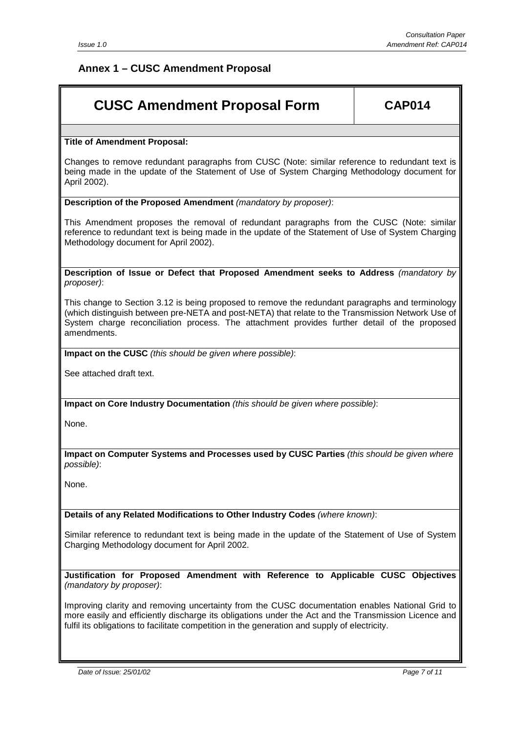### <span id="page-6-0"></span>**Annex 1 – CUSC Amendment Proposal**

# **CUSC Amendment Proposal Form | CAP014**

#### **Title of Amendment Proposal:**

Changes to remove redundant paragraphs from CUSC (Note: similar reference to redundant text is being made in the update of the Statement of Use of System Charging Methodology document for April 2002).

#### **Description of the Proposed Amendment** *(mandatory by proposer)*:

This Amendment proposes the removal of redundant paragraphs from the CUSC (Note: similar reference to redundant text is being made in the update of the Statement of Use of System Charging Methodology document for April 2002).

**Description of Issue or Defect that Proposed Amendment seeks to Address** *(mandatory by proposer)*:

This change to Section 3.12 is being proposed to remove the redundant paragraphs and terminology (which distinguish between pre-NETA and post-NETA) that relate to the Transmission Network Use of System charge reconciliation process. The attachment provides further detail of the proposed amendments.

**Impact on the CUSC** *(this should be given where possible)*:

See attached draft text.

**Impact on Core Industry Documentation** *(this should be given where possible)*:

None.

**Impact on Computer Systems and Processes used by CUSC Parties** *(this should be given where possible)*:

None.

**Details of any Related Modifications to Other Industry Codes** *(where known)*:

Similar reference to redundant text is being made in the update of the Statement of Use of System Charging Methodology document for April 2002.

**Justification for Proposed Amendment with Reference to Applicable CUSC Objectives** *(mandatory by proposer)*:

Improving clarity and removing uncertainty from the CUSC documentation enables National Grid to more easily and efficiently discharge its obligations under the Act and the Transmission Licence and fulfil its obligations to facilitate competition in the generation and supply of electricity.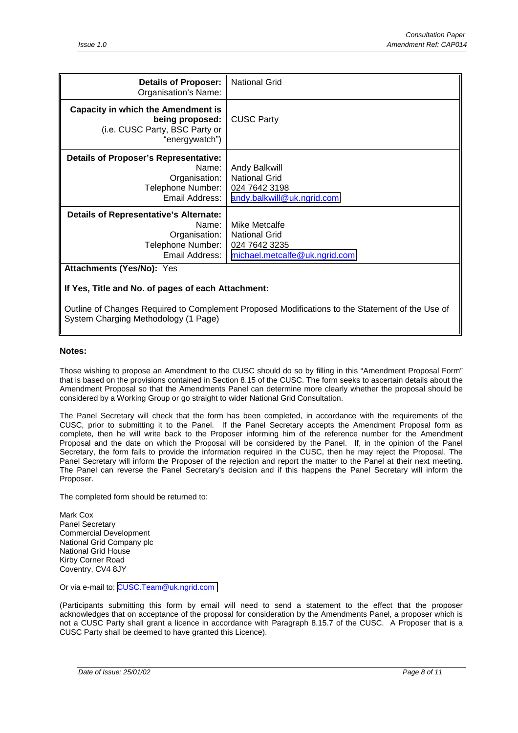| <b>Details of Proposer:</b><br>Organisation's Name:                                                              | <b>National Grid</b>                                                                           |  |
|------------------------------------------------------------------------------------------------------------------|------------------------------------------------------------------------------------------------|--|
| <b>Capacity in which the Amendment is</b><br>being proposed:<br>(i.e. CUSC Party, BSC Party or<br>"energywatch") | <b>CUSC Party</b>                                                                              |  |
| <b>Details of Proposer's Representative:</b><br>Name:<br>Organisation:<br>Telephone Number:<br>Email Address:    | Andy Balkwill<br><b>National Grid</b><br>024 7642 3198<br>andy.balkwill@uk.ngrid.com           |  |
| <b>Details of Representative's Alternate:</b><br>Name:<br>Organisation:<br>Telephone Number:<br>Email Address:   | Mike Metcalfe<br><b>National Grid</b><br>024 7642 3235<br><u>michael.metcalfe@uk.ngrid.com</u> |  |
| <b>Attachments (Yes/No): Yes</b>                                                                                 |                                                                                                |  |

#### **If Yes, Title and No. of pages of each Attachment:**

Outline of Changes Required to Complement Proposed Modifications to the Statement of the Use of System Charging Methodology (1 Page)

#### **Notes:**

Those wishing to propose an Amendment to the CUSC should do so by filling in this "Amendment Proposal Form" that is based on the provisions contained in Section 8.15 of the CUSC. The form seeks to ascertain details about the Amendment Proposal so that the Amendments Panel can determine more clearly whether the proposal should be considered by a Working Group or go straight to wider National Grid Consultation.

The Panel Secretary will check that the form has been completed, in accordance with the requirements of the CUSC, prior to submitting it to the Panel. If the Panel Secretary accepts the Amendment Proposal form as complete, then he will write back to the Proposer informing him of the reference number for the Amendment Proposal and the date on which the Proposal will be considered by the Panel. If, in the opinion of the Panel Secretary, the form fails to provide the information required in the CUSC, then he may reject the Proposal. The Panel Secretary will inform the Proposer of the rejection and report the matter to the Panel at their next meeting. The Panel can reverse the Panel Secretary's decision and if this happens the Panel Secretary will inform the Proposer.

The completed form should be returned to:

Mark Cox Panel Secretary Commercial Development National Grid Company plc National Grid House Kirby Corner Road Coventry, CV4 8JY

Or via e-mail to: [CUSC.Team@uk.ngrid.com](mailto:CUSC.Team@uk.ngrid.com)

(Participants submitting this form by email will need to send a statement to the effect that the proposer acknowledges that on acceptance of the proposal for consideration by the Amendments Panel, a proposer which is not a CUSC Party shall grant a licence in accordance with Paragraph 8.15.7 of the CUSC. A Proposer that is a CUSC Party shall be deemed to have granted this Licence).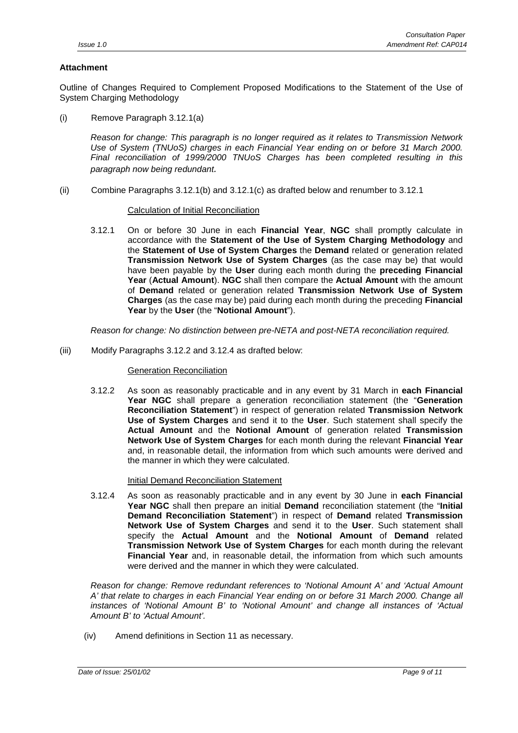#### **Attachment**

Outline of Changes Required to Complement Proposed Modifications to the Statement of the Use of System Charging Methodology

(i) Remove Paragraph 3.12.1(a)

*Reason for change: This paragraph is no longer required as it relates to Transmission Network Use of System (TNUoS) charges in each Financial Year ending on or before 31 March 2000. Final reconciliation of 1999/2000 TNUoS Charges has been completed resulting in this paragraph now being redundant.*

(ii) Combine Paragraphs 3.12.1(b) and 3.12.1(c) as drafted below and renumber to 3.12.1

#### Calculation of Initial Reconciliation

3.12.1 On or before 30 June in each **Financial Year**, **NGC** shall promptly calculate in accordance with the **Statement of the Use of System Charging Methodology** and the **Statement of Use of System Charges** the **Demand** related or generation related **Transmission Network Use of System Charges** (as the case may be) that would have been payable by the **User** during each month during the **preceding Financial Year** (**Actual Amount**). **NGC** shall then compare the **Actual Amount** with the amount of **Demand** related or generation related **Transmission Network Use of System Charges** (as the case may be) paid during each month during the preceding **Financial Year** by the **User** (the "**Notional Amount**").

*Reason for change: No distinction between pre-NETA and post-NETA reconciliation required.*

(iii) Modify Paragraphs 3.12.2 and 3.12.4 as drafted below:

#### Generation Reconciliation

3.12.2 As soon as reasonably practicable and in any event by 31 March in **each Financial Year NGC** shall prepare a generation reconciliation statement (the "**Generation Reconciliation Statement**") in respect of generation related **Transmission Network Use of System Charges** and send it to the **User**. Such statement shall specify the **Actual Amount** and the **Notional Amount** of generation related **Transmission Network Use of System Charges** for each month during the relevant **Financial Year** and, in reasonable detail, the information from which such amounts were derived and the manner in which they were calculated.

#### Initial Demand Reconciliation Statement

3.12.4 As soon as reasonably practicable and in any event by 30 June in **each Financial Year NGC** shall then prepare an initial **Demand** reconciliation statement (the "**Initial Demand Reconciliation Statement**") in respect of **Demand** related **Transmission Network Use of System Charges** and send it to the **User**. Such statement shall specify the **Actual Amount** and the **Notional Amount** of **Demand** related **Transmission Network Use of System Charges** for each month during the relevant **Financial Year** and, in reasonable detail, the information from which such amounts were derived and the manner in which they were calculated.

*Reason for change: Remove redundant references to 'Notional Amount A' and 'Actual Amount A' that relate to charges in each Financial Year ending on or before 31 March 2000. Change all instances of 'Notional Amount B' to 'Notional Amount' and change all instances of 'Actual Amount B' to 'Actual Amount'.*

(iv) Amend definitions in Section 11 as necessary.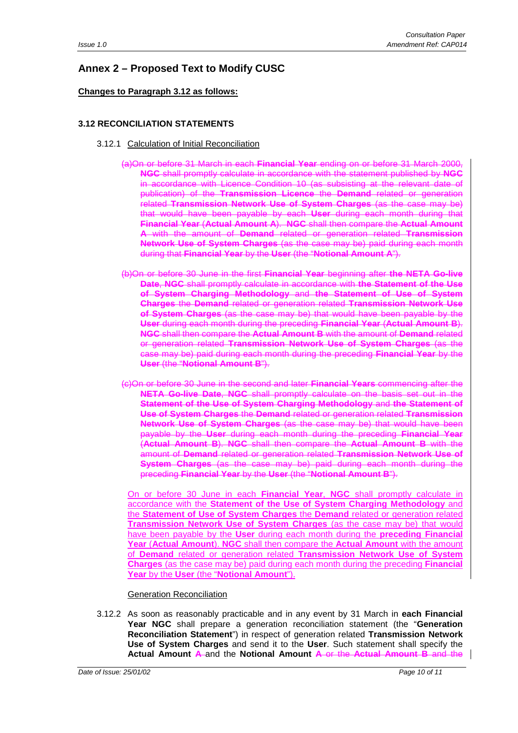## <span id="page-9-0"></span>**Annex 2 – Proposed Text to Modify CUSC**

#### **Changes to Paragraph 3.12 as follows:**

#### **3.12 RECONCILIATION STATEMENTS**

- 3.12.1 Calculation of Initial Reconciliation
	- (a)On or before 31 March in each **Financial Year** ending on or before 31 March 2000, **NGC** shall promptly calculate in accordance with the statement published by **NGC** in accordance with Licence Condition 10 (as subsisting at the relevant date of publication) of the **Transmission Licence** the **Demand** related or generation related **Transmission Network Use of System Charges** (as the case may be) that would have been payable by each **User** during each month during that **Financial Year** (**Actual Amount A**). **NGC** shall then compare the **Actual Amount A** with the amount of **Demand** related or generation related **Transmission Network Use of System Charges** (as the case may be) paid during each month during that **Financial Year** by the **User** (the "**Notional Amount A**").
	- (b)On or before 30 June in the first **Financial Year** beginning after **the NETA Go-live Date**, **NGC** shall promptly calculate in accordance with **the Statement of the Use of System Charging Methodology** and **the Statement of Use of System Charges** the **Demand** related or generation related **Transmission Network Use of System Charges** (as the case may be) that would have been payable by the **User** during each month during the preceding **Financial Year** (**Actual Amount B**). **NGC** shall then compare the **Actual Amount B** with the amount of **Demand** related or generation related **Transmission Network Use of System Charges** (as the case may be) paid during each month during the preceding **Financial Year** by the **User** (the "**Notional Amount B**").
	- (c)On or before 30 June in the second and later **Financial Years** commencing after the **NETA Go-live Date**, **NGC** shall promptly calculate on the basis set out in the **Statement of the Use of System Charging Methodology** and **the Statement of Use of System Charges** the **Demand** related or generation related **Transmission Network Use of System Charges** (as the case may be) that would have been payable by the **User** during each month during the preceding **Financial Year** (**Actual Amount B**). **NGC** shall then compare the **Actual Amount B** with the amount of **Demand** related or generation related **Transmission Network Use of System Charges** (as the case may be) paid during each month during the preceding **Financial Year** by the **User** (the "**Notional Amount B**").

On or before 30 June in each **Financial Year**, **NGC** shall promptly calculate in accordance with the **Statement of the Use of System Charging Methodology** and the **Statement of Use of System Charges** the **Demand** related or generation related **Transmission Network Use of System Charges** (as the case may be) that would have been payable by the **User** during each month during the **preceding Financial Year** (**Actual Amount**). **NGC** shall then compare the **Actual Amount** with the amount of **Demand** related or generation related **Transmission Network Use of System Charges** (as the case may be) paid during each month during the preceding **Financial Year** by the **User** (the "**Notional Amount**").

#### Generation Reconciliation

3.12.2 As soon as reasonably practicable and in any event by 31 March in **each Financial Year NGC** shall prepare a generation reconciliation statement (the "**Generation Reconciliation Statement**") in respect of generation related **Transmission Network Use of System Charges** and send it to the **User**. Such statement shall specify the **Actual Amount A** and the **Notional Amount A** or the **Actual Amount B** and the